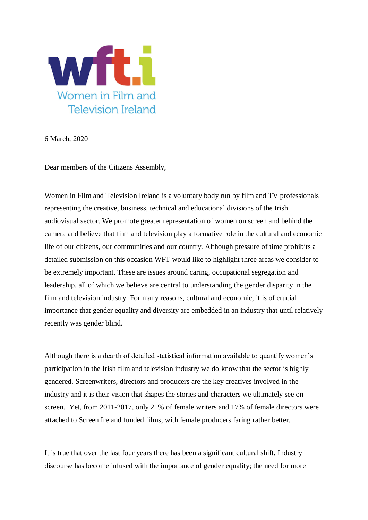

6 March, 2020

Dear members of the Citizens Assembly,

Women in Film and Television Ireland is a voluntary body run by film and TV professionals representing the creative, business, technical and educational divisions of the Irish audiovisual sector. We promote greater representation of women on screen and behind the camera and believe that film and television play a formative role in the cultural and economic life of our citizens, our communities and our country. Although pressure of time prohibits a detailed submission on this occasion WFT would like to highlight three areas we consider to be extremely important. These are issues around caring, occupational segregation and leadership, all of which we believe are central to understanding the gender disparity in the film and television industry. For many reasons, cultural and economic, it is of crucial importance that gender equality and diversity are embedded in an industry that until relatively recently was gender blind.

Although there is a dearth of detailed statistical information available to quantify women's participation in the Irish film and television industry we do know that the sector is highly gendered. Screenwriters, directors and producers are the key creatives involved in the industry and it is their vision that shapes the stories and characters we ultimately see on screen. Yet, from 2011-2017, only 21% of female writers and 17% of female directors were attached to Screen Ireland funded films, with female producers faring rather better.

It is true that over the last four years there has been a significant cultural shift. Industry discourse has become infused with the importance of gender equality; the need for more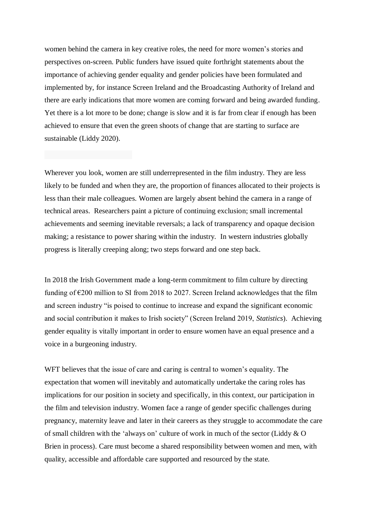women behind the camera in key creative roles, the need for more women's stories and perspectives on-screen. Public funders have issued quite forthright statements about the importance of achieving gender equality and gender policies have been formulated and implemented by, for instance Screen Ireland and the Broadcasting Authority of Ireland and there are early indications that more women are coming forward and being awarded funding. Yet there is a lot more to be done; change is slow and it is far from clear if enough has been achieved to ensure that even the green shoots of change that are starting to surface are sustainable (Liddy 2020).

Wherever you look, women are still underrepresented in the film industry. They are less likely to be funded and when they are, the proportion of finances allocated to their projects is less than their male colleagues. Women are largely absent behind the camera in a range of technical areas. Researchers paint a picture of continuing exclusion; small incremental achievements and seeming inevitable reversals; a lack of transparency and opaque decision making; a resistance to power sharing within the industry. In western industries globally progress is literally creeping along; two steps forward and one step back.

In 2018 the Irish Government made a long-term commitment to film culture by directing funding of  $\epsilon$ 200 million to SI from 2018 to 2027. Screen Ireland acknowledges that the film and screen industry "is poised to continue to increase and expand the significant economic and social contribution it makes to Irish society" (Screen Ireland 2019, *Statistics*). Achieving gender equality is vitally important in order to ensure women have an equal presence and a voice in a burgeoning industry.

WFT believes that the issue of care and caring is central to women's equality. The expectation that women will inevitably and automatically undertake the caring roles has implications for our position in society and specifically, in this context, our participation in the film and television industry. Women face a range of gender specific challenges during pregnancy, maternity leave and later in their careers as they struggle to accommodate the care of small children with the 'always on' culture of work in much of the sector (Liddy & O Brien in process). Care must become a shared responsibility between women and men, with quality, accessible and affordable care supported and resourced by the state.